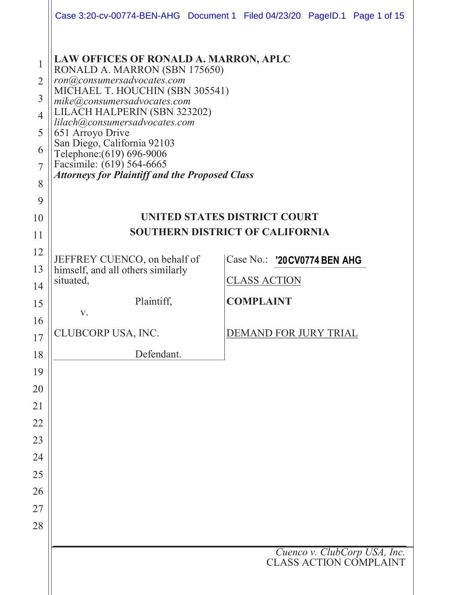|                                                                                                   |                                                                                                                                                                                                                                                                                                                                                                                                                                               | Case 3:20-cv-00774-BEN-AHG Document 1 Filed 04/23/20 PageID.1 Page 1 of 15 |  |  |  |  |  |  |  |
|---------------------------------------------------------------------------------------------------|-----------------------------------------------------------------------------------------------------------------------------------------------------------------------------------------------------------------------------------------------------------------------------------------------------------------------------------------------------------------------------------------------------------------------------------------------|----------------------------------------------------------------------------|--|--|--|--|--|--|--|
| $\mathbf{1}$<br>$\overline{2}$<br>3<br>$\overline{4}$<br>5<br>6<br>$\overline{7}$<br>8<br>9<br>10 | LAW OFFICES OF RONALD A. MARRON, APLC<br>RONALD A. MARRON (SBN 175650)<br>ron@consumersadvocates.com<br>MICHAEL T. HOUCHIN (SBN 305541)<br>mike@consumersadvocates.com<br>LILACH HALPERIN (SBN 323202)<br>lilach@consumersadvocates.com<br>651 Arroyo Drive<br>San Diego, California 92103<br>Telephone: (619) 696-9006<br>Facsimile: (619) 564-6665<br><b>Attorneys for Plaintiff and the Proposed Class</b><br>UNITED STATES DISTRICT COURT |                                                                            |  |  |  |  |  |  |  |
| 11                                                                                                | <b>SOUTHERN DISTRICT OF CALIFORNIA</b>                                                                                                                                                                                                                                                                                                                                                                                                        |                                                                            |  |  |  |  |  |  |  |
| 12<br>13<br>14                                                                                    | JEFFREY CUENCO, on behalf of<br>himself, and all others similarly<br>situated,                                                                                                                                                                                                                                                                                                                                                                | Case No.: '20 CV0774 BEN AHG<br><b>CLASS ACTION</b>                        |  |  |  |  |  |  |  |
| 15                                                                                                | Plaintiff,<br>V.                                                                                                                                                                                                                                                                                                                                                                                                                              | <b>COMPLAINT</b>                                                           |  |  |  |  |  |  |  |
| 16<br>17                                                                                          | CLUBCORP USA, INC.                                                                                                                                                                                                                                                                                                                                                                                                                            | DEMAND FOR JURY TRIAL                                                      |  |  |  |  |  |  |  |
| 18                                                                                                | Defendant.                                                                                                                                                                                                                                                                                                                                                                                                                                    |                                                                            |  |  |  |  |  |  |  |
| 19                                                                                                |                                                                                                                                                                                                                                                                                                                                                                                                                                               |                                                                            |  |  |  |  |  |  |  |
| 20                                                                                                |                                                                                                                                                                                                                                                                                                                                                                                                                                               |                                                                            |  |  |  |  |  |  |  |
| 21                                                                                                |                                                                                                                                                                                                                                                                                                                                                                                                                                               |                                                                            |  |  |  |  |  |  |  |
| 22<br>23                                                                                          |                                                                                                                                                                                                                                                                                                                                                                                                                                               |                                                                            |  |  |  |  |  |  |  |
| 24                                                                                                |                                                                                                                                                                                                                                                                                                                                                                                                                                               |                                                                            |  |  |  |  |  |  |  |
| 25                                                                                                |                                                                                                                                                                                                                                                                                                                                                                                                                                               |                                                                            |  |  |  |  |  |  |  |
| 26                                                                                                |                                                                                                                                                                                                                                                                                                                                                                                                                                               |                                                                            |  |  |  |  |  |  |  |
| 27                                                                                                |                                                                                                                                                                                                                                                                                                                                                                                                                                               |                                                                            |  |  |  |  |  |  |  |
| 28                                                                                                |                                                                                                                                                                                                                                                                                                                                                                                                                                               |                                                                            |  |  |  |  |  |  |  |
|                                                                                                   |                                                                                                                                                                                                                                                                                                                                                                                                                                               | Cuenco v. ClubCorp USA, Inc.<br><b>CLASS ACTION COMPLAINT</b>              |  |  |  |  |  |  |  |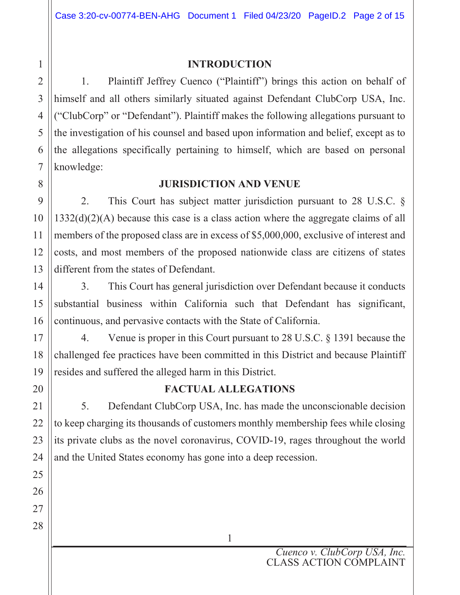#### INTRODUCTION

1. Plaintiff Jeffrey Cuenco ("Plaintiff") brings this action on behalf of himself and all others similarly situated against Defendant ClubCorp USA, Inc. ("ClubCorp" or "Defendant"). Plaintiff makes the following allegations pursuant to the investigation of his counsel and based upon information and belief, except as to the allegations specifically pertaining to himself, which are based on personal knowledge:

#### JURISDICTION AND VENUE

2. This Court has subject matter jurisdiction pursuant to 28 U.S.C. § 1332(d)(2)(A) because this case is a class action where the aggregate claims of all members of the proposed class are in excess of \$5,000,000, exclusive of interest and costs, and most members of the proposed nationwide class are citizens of states different from the states of Defendant.

3. This Court has general jurisdiction over Defendant because it conducts substantial business within California such that Defendant has significant, continuous, and pervasive contacts with the State of California.

4. Venue is proper in this Court pursuant to 28 U.S.C. § 1391 because the challenged fee practices have been committed in this District and because Plaintiff resides and suffered the alleged harm in this District.

### FACTUAL ALLEGATIONS

5. Defendant ClubCorp USA, Inc. has made the unconscionable decision to keep charging its thousands of customers monthly membership fees while closing its private clubs as the novel coronavirus, COVID-19, rages throughout the world and the United States economy has gone into a deep recession.

1

1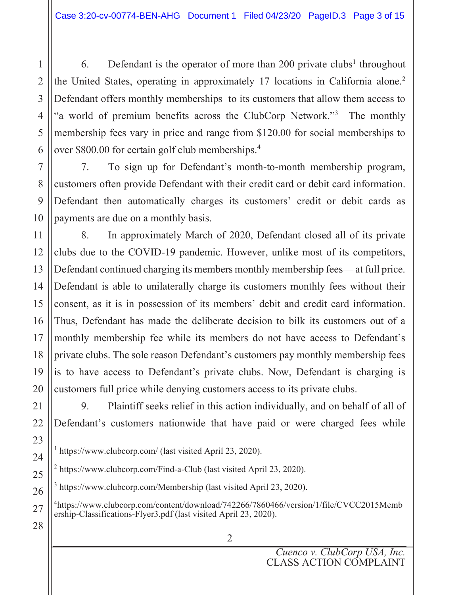6. Defendant is the operator of more than 200 private clubs<sup>1</sup> throughout the United States, operating in approximately 17 locations in California alone.<sup>2</sup> Defendant offers monthly memberships to its customers that allow them access to "a world of premium benefits across the ClubCorp Network."<sup>3</sup> The monthly membership fees vary in price and range from \$120.00 for social memberships to over \$800.00 for certain golf club memberships.<sup>4</sup>

7. To sign up for Defendant's month-to-month membership program, customers often provide Defendant with their credit card or debit card information. Defendant then automatically charges its customers' credit or debit cards as payments are due on a monthly basis.

8. In approximately March of 2020, Defendant closed all of its private clubs due to the COVID-19 pandemic. However, unlike most of its competitors, Defendant continued charging its members monthly membership fees— at full price. Defendant is able to unilaterally charge its customers monthly fees without their consent, as it is in possession of its members' debit and credit card information. Thus, Defendant has made the deliberate decision to bilk its customers out of a monthly membership fee while its members do not have access to Defendant's private clubs. The sole reason Defendant's customers pay monthly membership fees is to have access to Defendant's private clubs. Now, Defendant is charging is customers full price while denying customers access to its private clubs.

9. Plaintiff seeks relief in this action individually, and on behalf of all of Defendant's customers nationwide that have paid or were charged fees while

<sup>&</sup>lt;sup>1</sup> https://www.clubcorp.com/ (last visited April 23, 2020).

 $2$  https://www.clubcorp.com/Find-a-Club (last visited April 23, 2020).

<sup>&</sup>lt;sup>3</sup> https://www.clubcorp.com/Membership (last visited April 23, 2020).

<sup>4</sup> https://www.clubcorp.com/content/download/742266/7860466/version/1/file/CVCC2015Memb ership-Classifications-Flyer3.pdf (last visited April 23, 2020).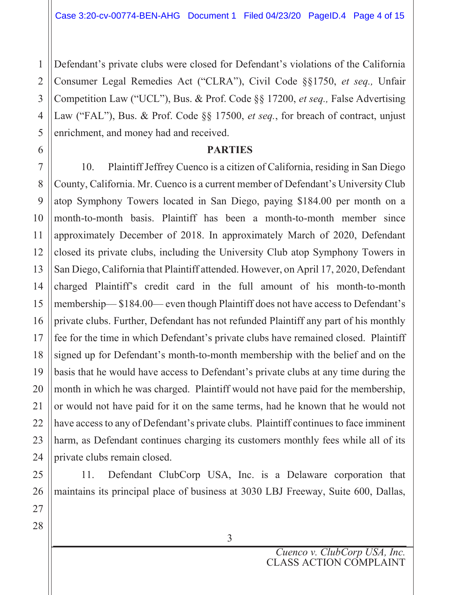1 2 3 Defendant's private clubs were closed for Defendant's violations of the California Consumer Legal Remedies Act ("CLRA"), Civil Code §§1750, *et seq.,* Unfair Competition Law ("UCL"), Bus. & Prof. Code §§ 17200, *et seq.,* False Advertising Law ("FAL"), Bus. & Prof. Code §§ 17500, *et seq.*, for breach of contract, unjust enrichment, and money had and received.

#### PARTIES

10. Plaintiff Jeffrey Cuenco is a citizen of California, residing in San Diego County, California. Mr. Cuenco is a current member of Defendant's University Club atop Symphony Towers located in San Diego, paying \$184.00 per month on a month-to-month basis. Plaintiff has been a month-to-month member since approximately December of 2018. In approximately March of 2020, Defendant closed its private clubs, including the University Club atop Symphony Towers in San Diego, California that Plaintiff attended. However, on April 17, 2020, Defendant charged Plaintiff's credit card in the full amount of his month-to-month membership— \$184.00— even though Plaintiff does not have access to Defendant's private clubs. Further, Defendant has not refunded Plaintiff any part of his monthly fee for the time in which Defendant's private clubs have remained closed. Plaintiff signed up for Defendant's month-to-month membership with the belief and on the basis that he would have access to Defendant's private clubs at any time during the month in which he was charged. Plaintiff would not have paid for the membership, or would not have paid for it on the same terms, had he known that he would not have access to any of Defendant's private clubs. Plaintiff continues to face imminent harm, as Defendant continues charging its customers monthly fees while all of its private clubs remain closed.

11. Defendant ClubCorp USA, Inc. is a Delaware corporation that maintains its principal place of business at 3030 LBJ Freeway, Suite 600, Dallas,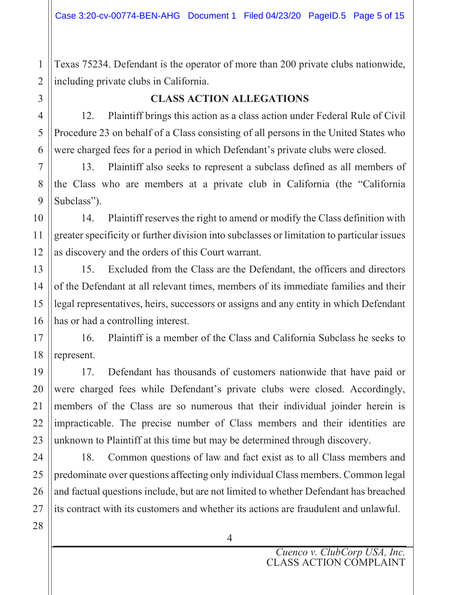Texas 75234. Defendant is the operator of more than 200 private clubs nationwide, including private clubs in California.

# 3

1

2

4

5

6

7

8

9

10

11

12

13

14

15

16

17

18

19

20

21

22

23

#### CLASS ACTION ALLEGATIONS

12. Plaintiff brings this action as a class action under Federal Rule of Civil Procedure 23 on behalf of a Class consisting of all persons in the United States who were charged fees for a period in which Defendant's private clubs were closed.

13. Plaintiff also seeks to represent a subclass defined as all members of the Class who are members at a private club in California (the "California Subclass").

14. Plaintiff reserves the right to amend or modify the Class definition with greater specificity or further division into subclasses or limitation to particular issues as discovery and the orders of this Court warrant.

15. Excluded from the Class are the Defendant, the officers and directors of the Defendant at all relevant times, members of its immediate families and their legal representatives, heirs, successors or assigns and any entity in which Defendant has or had a controlling interest.

16. Plaintiff is a member of the Class and California Subclass he seeks to represent.

17. Defendant has thousands of customers nationwide that have paid or were charged fees while Defendant's private clubs were closed. Accordingly, members of the Class are so numerous that their individual joinder herein is impracticable. The precise number of Class members and their identities are unknown to Plaintiff at this time but may be determined through discovery.

18. Common questions of law and fact exist as to all Class members and predominate over questions affecting only individual Class members. Common legal and factual questions include, but are not limited to whether Defendant has breached its contract with its customers and whether its actions are fraudulent and unlawful.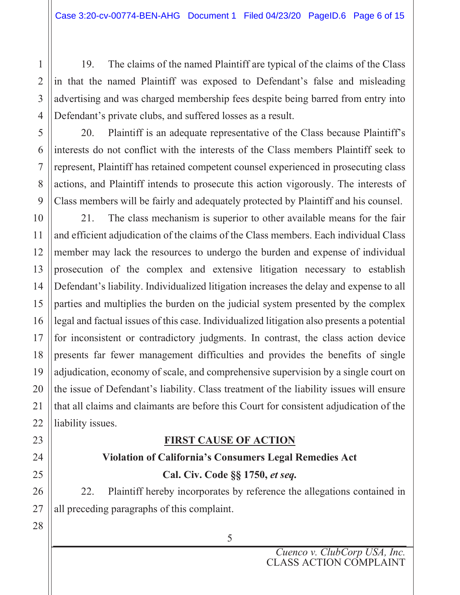19. The claims of the named Plaintiff are typical of the claims of the Class in that the named Plaintiff was exposed to Defendant's false and misleading advertising and was charged membership fees despite being barred from entry into Defendant's private clubs, and suffered losses as a result.

20. Plaintiff is an adequate representative of the Class because Plaintiff's interests do not conflict with the interests of the Class members Plaintiff seek to represent, Plaintiff has retained competent counsel experienced in prosecuting class actions, and Plaintiff intends to prosecute this action vigorously. The interests of Class members will be fairly and adequately protected by Plaintiff and his counsel.

21. The class mechanism is superior to other available means for the fair and efficient adjudication of the claims of the Class members. Each individual Class member may lack the resources to undergo the burden and expense of individual prosecution of the complex and extensive litigation necessary to establish Defendant's liability. Individualized litigation increases the delay and expense to all parties and multiplies the burden on the judicial system presented by the complex legal and factual issues of this case. Individualized litigation also presents a potential for inconsistent or contradictory judgments. In contrast, the class action device presents far fewer management difficulties and provides the benefits of single adjudication, economy of scale, and comprehensive supervision by a single court on the issue of Defendant's liability. Class treatment of the liability issues will ensure that all claims and claimants are before this Court for consistent adjudication of the liability issues.

#### FIRST CAUSE OF ACTION

## Violation of California's Consumers Legal Remedies Act Cal. Civ. Code §§ 1750, *et seq.*

22. Plaintiff hereby incorporates by reference the allegations contained in all preceding paragraphs of this complaint.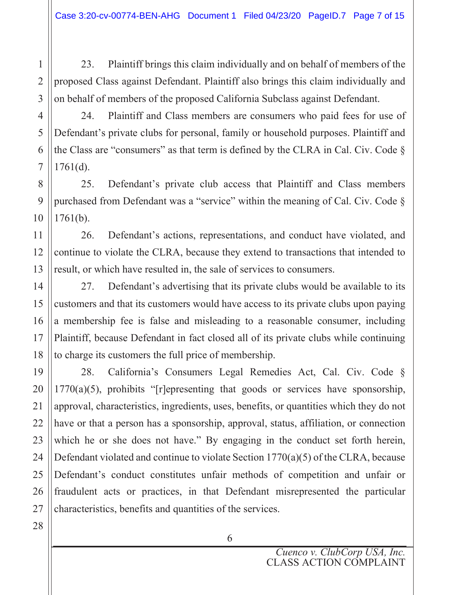23. Plaintiff brings this claim individually and on behalf of members of the proposed Class against Defendant. Plaintiff also brings this claim individually and on behalf of members of the proposed California Subclass against Defendant.

24. Plaintiff and Class members are consumers who paid fees for use of Defendant's private clubs for personal, family or household purposes. Plaintiff and the Class are "consumers" as that term is defined by the CLRA in Cal. Civ. Code § 1761(d).

25. Defendant's private club access that Plaintiff and Class members purchased from Defendant was a "service" within the meaning of Cal. Civ. Code §  $1761(b)$ .

26. Defendant's actions, representations, and conduct have violated, and continue to violate the CLRA, because they extend to transactions that intended to result, or which have resulted in, the sale of services to consumers.

27. Defendant's advertising that its private clubs would be available to its customers and that its customers would have access to its private clubs upon paying a membership fee is false and misleading to a reasonable consumer, including Plaintiff, because Defendant in fact closed all of its private clubs while continuing to charge its customers the full price of membership.

28. California's Consumers Legal Remedies Act, Cal. Civ. Code §  $1770(a)(5)$ , prohibits "[r]epresenting that goods or services have sponsorship, approval, characteristics, ingredients, uses, benefits, or quantities which they do not have or that a person has a sponsorship, approval, status, affiliation, or connection which he or she does not have." By engaging in the conduct set forth herein, Defendant violated and continue to violate Section 1770(a)(5) of the CLRA, because Defendant's conduct constitutes unfair methods of competition and unfair or fraudulent acts or practices, in that Defendant misrepresented the particular characteristics, benefits and quantities of the services.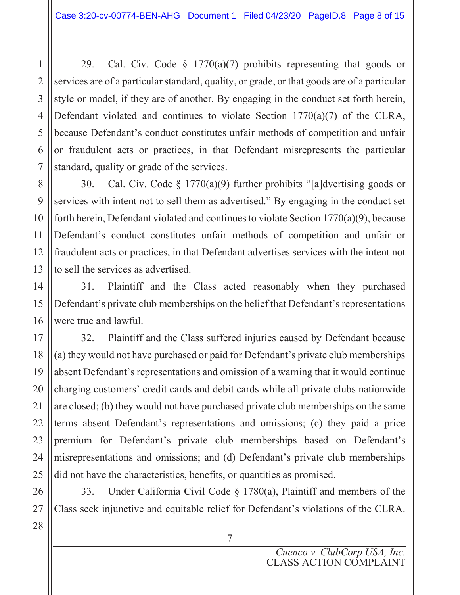29. Cal. Civ. Code  $\S$  1770(a)(7) prohibits representing that goods or services are of a particular standard, quality, or grade, or that goods are of a particular style or model, if they are of another. By engaging in the conduct set forth herein, Defendant violated and continues to violate Section 1770(a)(7) of the CLRA, because Defendant's conduct constitutes unfair methods of competition and unfair or fraudulent acts or practices, in that Defendant misrepresents the particular standard, quality or grade of the services.

30. Cal. Civ. Code § 1770(a)(9) further prohibits "[a]dvertising goods or services with intent not to sell them as advertised." By engaging in the conduct set forth herein, Defendant violated and continues to violate Section 1770(a)(9), because Defendant's conduct constitutes unfair methods of competition and unfair or fraudulent acts or practices, in that Defendant advertises services with the intent not to sell the services as advertised.

31. Plaintiff and the Class acted reasonably when they purchased Defendant's private club memberships on the belief that Defendant's representations were true and lawful.

32. Plaintiff and the Class suffered injuries caused by Defendant because (a) they would not have purchased or paid for Defendant's private club memberships absent Defendant's representations and omission of a warning that it would continue charging customers' credit cards and debit cards while all private clubs nationwide are closed; (b) they would not have purchased private club memberships on the same terms absent Defendant's representations and omissions; (c) they paid a price premium for Defendant's private club memberships based on Defendant's misrepresentations and omissions; and (d) Defendant's private club memberships did not have the characteristics, benefits, or quantities as promised.

33. Under California Civil Code § 1780(a), Plaintiff and members of the Class seek injunctive and equitable relief for Defendant's violations of the CLRA.

1

2

3

4

5

6

7

8

9

10

11

12

13

14

15

16

17

18

19

20

21

22

23

24

25

26

 *Cuenco v. ClubCorp USA, Inc.*  CLASS ACTION COMPLAINT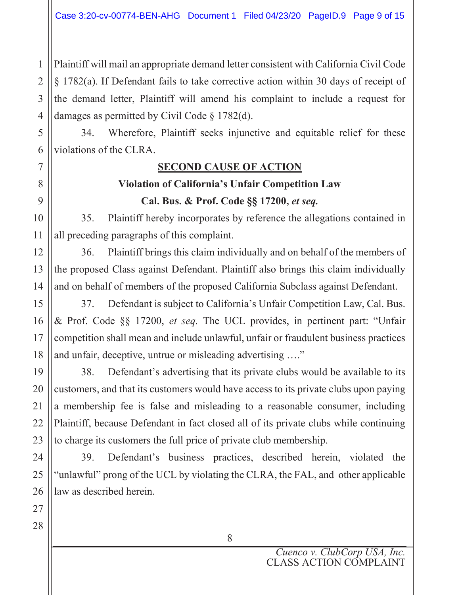Plaintiff will mail an appropriate demand letter consistent with California Civil Code § 1782(a). If Defendant fails to take corrective action within 30 days of receipt of the demand letter, Plaintiff will amend his complaint to include a request for damages as permitted by Civil Code § 1782(d).

34. Wherefore, Plaintiff seeks injunctive and equitable relief for these violations of the CLRA.

#### SECOND CAUSE OF ACTION

## Violation of California's Unfair Competition Law Cal. Bus. & Prof. Code §§ 17200, *et seq.*

35. Plaintiff hereby incorporates by reference the allegations contained in all preceding paragraphs of this complaint.

36. Plaintiff brings this claim individually and on behalf of the members of the proposed Class against Defendant. Plaintiff also brings this claim individually and on behalf of members of the proposed California Subclass against Defendant.

37. Defendant is subject to California's Unfair Competition Law, Cal. Bus. & Prof. Code §§ 17200, *et seq.* The UCL provides, in pertinent part: "Unfair competition shall mean and include unlawful, unfair or fraudulent business practices and unfair, deceptive, untrue or misleading advertising …."

38. Defendant's advertising that its private clubs would be available to its customers, and that its customers would have access to its private clubs upon paying a membership fee is false and misleading to a reasonable consumer, including Plaintiff, because Defendant in fact closed all of its private clubs while continuing to charge its customers the full price of private club membership.

39. Defendant's business practices, described herein, violated the "unlawful" prong of the UCL by violating the CLRA, the FAL, and other applicable law as described herein.

1

2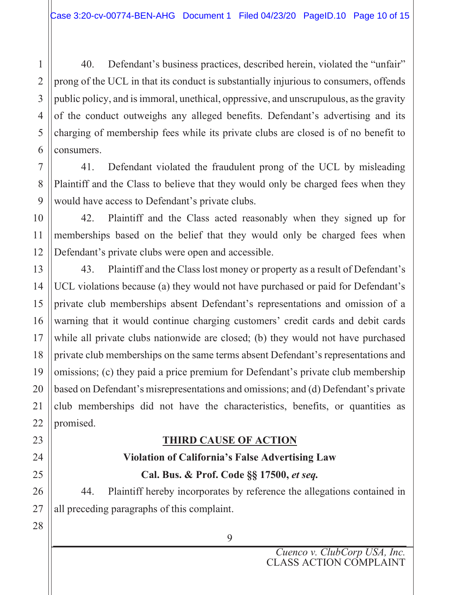40. Defendant's business practices, described herein, violated the "unfair" prong of the UCL in that its conduct is substantially injurious to consumers, offends public policy, and is immoral, unethical, oppressive, and unscrupulous, as the gravity of the conduct outweighs any alleged benefits. Defendant's advertising and its charging of membership fees while its private clubs are closed is of no benefit to consumers.

41. Defendant violated the fraudulent prong of the UCL by misleading Plaintiff and the Class to believe that they would only be charged fees when they would have access to Defendant's private clubs.

42. Plaintiff and the Class acted reasonably when they signed up for memberships based on the belief that they would only be charged fees when Defendant's private clubs were open and accessible.

43. Plaintiff and the Class lost money or property as a result of Defendant's UCL violations because (a) they would not have purchased or paid for Defendant's private club memberships absent Defendant's representations and omission of a warning that it would continue charging customers' credit cards and debit cards while all private clubs nationwide are closed; (b) they would not have purchased private club memberships on the same terms absent Defendant's representations and omissions; (c) they paid a price premium for Defendant's private club membership based on Defendant's misrepresentations and omissions; and (d) Defendant's private club memberships did not have the characteristics, benefits, or quantities as promised.

#### THIRD CAUSE OF ACTION

## Violation of California's False Advertising Law Cal. Bus. & Prof. Code §§ 17500, *et seq.*

44. Plaintiff hereby incorporates by reference the allegations contained in all preceding paragraphs of this complaint.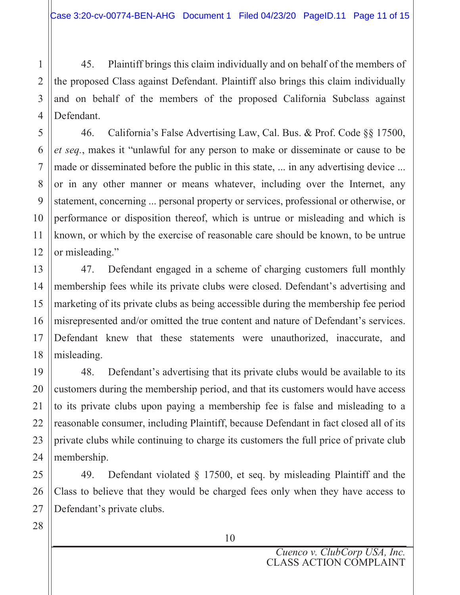45. Plaintiff brings this claim individually and on behalf of the members of the proposed Class against Defendant. Plaintiff also brings this claim individually and on behalf of the members of the proposed California Subclass against Defendant.

46. California's False Advertising Law, Cal. Bus. & Prof. Code §§ 17500, *et seq.*, makes it "unlawful for any person to make or disseminate or cause to be made or disseminated before the public in this state, ... in any advertising device ... or in any other manner or means whatever, including over the Internet, any statement, concerning ... personal property or services, professional or otherwise, or performance or disposition thereof, which is untrue or misleading and which is known, or which by the exercise of reasonable care should be known, to be untrue or misleading."

47. Defendant engaged in a scheme of charging customers full monthly membership fees while its private clubs were closed. Defendant's advertising and marketing of its private clubs as being accessible during the membership fee period misrepresented and/or omitted the true content and nature of Defendant's services. Defendant knew that these statements were unauthorized, inaccurate, and misleading.

48. Defendant's advertising that its private clubs would be available to its customers during the membership period, and that its customers would have access to its private clubs upon paying a membership fee is false and misleading to a reasonable consumer, including Plaintiff, because Defendant in fact closed all of its private clubs while continuing to charge its customers the full price of private club membership.

49. Defendant violated § 17500, et seq. by misleading Plaintiff and the Class to believe that they would be charged fees only when they have access to Defendant's private clubs.

10

1

2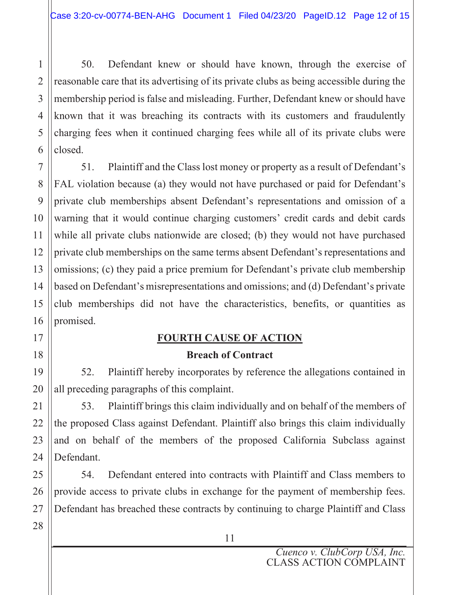50. Defendant knew or should have known, through the exercise of reasonable care that its advertising of its private clubs as being accessible during the membership period is false and misleading. Further, Defendant knew or should have known that it was breaching its contracts with its customers and fraudulently charging fees when it continued charging fees while all of its private clubs were closed.

51. Plaintiff and the Class lost money or property as a result of Defendant's FAL violation because (a) they would not have purchased or paid for Defendant's private club memberships absent Defendant's representations and omission of a warning that it would continue charging customers' credit cards and debit cards while all private clubs nationwide are closed; (b) they would not have purchased private club memberships on the same terms absent Defendant's representations and omissions; (c) they paid a price premium for Defendant's private club membership based on Defendant's misrepresentations and omissions; and (d) Defendant's private club memberships did not have the characteristics, benefits, or quantities as promised.

## FOURTH CAUSE OF ACTION

## Breach of Contract

52. Plaintiff hereby incorporates by reference the allegations contained in all preceding paragraphs of this complaint.

53. Plaintiff brings this claim individually and on behalf of the members of the proposed Class against Defendant. Plaintiff also brings this claim individually and on behalf of the members of the proposed California Subclass against Defendant.

54. Defendant entered into contracts with Plaintiff and Class members to provide access to private clubs in exchange for the payment of membership fees. Defendant has breached these contracts by continuing to charge Plaintiff and Class

28

1

2

3

4

5

6

7

8

9

10

11

12

13

14

15

16

17

18

19

20

21

22

23

24

25

26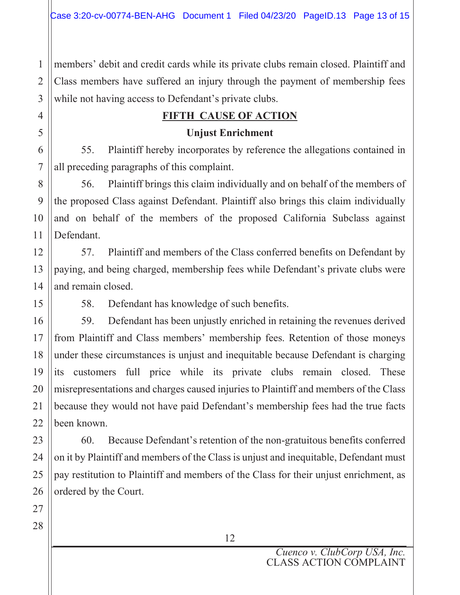members' debit and credit cards while its private clubs remain closed. Plaintiff and Class members have suffered an injury through the payment of membership fees while not having access to Defendant's private clubs.

#### FIFTH CAUSE OF ACTION

Unjust Enrichment

55. Plaintiff hereby incorporates by reference the allegations contained in all preceding paragraphs of this complaint.

56. Plaintiff brings this claim individually and on behalf of the members of the proposed Class against Defendant. Plaintiff also brings this claim individually and on behalf of the members of the proposed California Subclass against Defendant.

57. Plaintiff and members of the Class conferred benefits on Defendant by paying, and being charged, membership fees while Defendant's private clubs were and remain closed.

58. Defendant has knowledge of such benefits.

59. Defendant has been unjustly enriched in retaining the revenues derived from Plaintiff and Class members' membership fees. Retention of those moneys under these circumstances is unjust and inequitable because Defendant is charging its customers full price while its private clubs remain closed. These misrepresentations and charges caused injuries to Plaintiff and members of the Class because they would not have paid Defendant's membership fees had the true facts been known.

60. Because Defendant's retention of the non-gratuitous benefits conferred on it by Plaintiff and members of the Class is unjust and inequitable, Defendant must pay restitution to Plaintiff and members of the Class for their unjust enrichment, as ordered by the Court.

1

2

3

4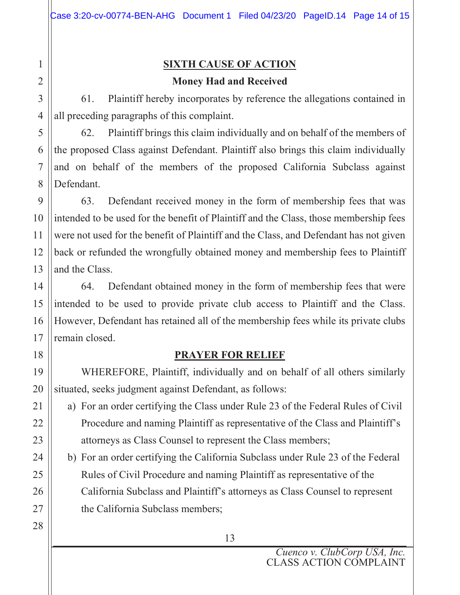### SIXTH CAUSE OF ACTION

#### Money Had and Received

61. Plaintiff hereby incorporates by reference the allegations contained in all preceding paragraphs of this complaint.

62. Plaintiff brings this claim individually and on behalf of the members of the proposed Class against Defendant. Plaintiff also brings this claim individually and on behalf of the members of the proposed California Subclass against Defendant.

63. Defendant received money in the form of membership fees that was intended to be used for the benefit of Plaintiff and the Class, those membership fees were not used for the benefit of Plaintiff and the Class, and Defendant has not given back or refunded the wrongfully obtained money and membership fees to Plaintiff and the Class.

64. Defendant obtained money in the form of membership fees that were intended to be used to provide private club access to Plaintiff and the Class. However, Defendant has retained all of the membership fees while its private clubs remain closed.

### PRAYER FOR RELIEF

 WHEREFORE, Plaintiff, individually and on behalf of all others similarly situated, seeks judgment against Defendant, as follows:

- a) For an order certifying the Class under Rule 23 of the Federal Rules of Civil Procedure and naming Plaintiff as representative of the Class and Plaintiff's attorneys as Class Counsel to represent the Class members;
- b) For an order certifying the California Subclass under Rule 23 of the Federal Rules of Civil Procedure and naming Plaintiff as representative of the California Subclass and Plaintiff's attorneys as Class Counsel to represent the California Subclass members;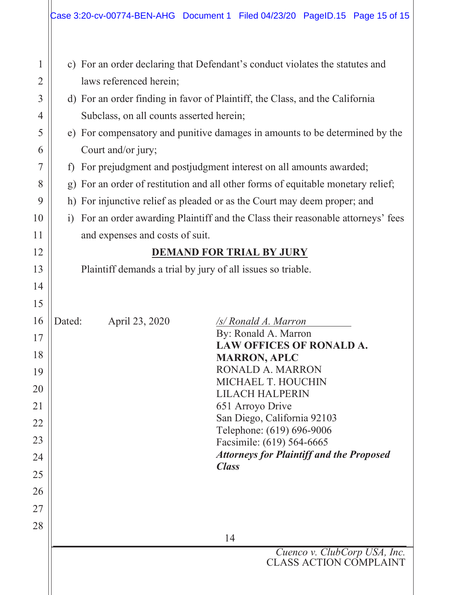| $\mathbf 1$    | c) For an order declaring that Defendant's conduct violates the statutes and         |                                                                              |  |  |  |  |  |  |
|----------------|--------------------------------------------------------------------------------------|------------------------------------------------------------------------------|--|--|--|--|--|--|
| $\overline{2}$ | laws referenced herein;                                                              |                                                                              |  |  |  |  |  |  |
| $\overline{3}$ | d) For an order finding in favor of Plaintiff, the Class, and the California         |                                                                              |  |  |  |  |  |  |
| 4              | Subclass, on all counts asserted herein;                                             |                                                                              |  |  |  |  |  |  |
| 5              | e) For compensatory and punitive damages in amounts to be determined by the          |                                                                              |  |  |  |  |  |  |
| 6              | Court and/or jury;                                                                   |                                                                              |  |  |  |  |  |  |
| 7              | f) For prejudgment and postjudgment interest on all amounts awarded;                 |                                                                              |  |  |  |  |  |  |
| 8              | g) For an order of restitution and all other forms of equitable monetary relief;     |                                                                              |  |  |  |  |  |  |
| 9              | h) For injunctive relief as pleaded or as the Court may deem proper; and             |                                                                              |  |  |  |  |  |  |
| 10             | For an order awarding Plaintiff and the Class their reasonable attorneys' fees<br>i) |                                                                              |  |  |  |  |  |  |
| 11             | and expenses and costs of suit.                                                      |                                                                              |  |  |  |  |  |  |
| 12             | <b>DEMAND FOR TRIAL BY JURY</b>                                                      |                                                                              |  |  |  |  |  |  |
| 13             | Plaintiff demands a trial by jury of all issues so triable.                          |                                                                              |  |  |  |  |  |  |
| 14             |                                                                                      |                                                                              |  |  |  |  |  |  |
| 15             |                                                                                      |                                                                              |  |  |  |  |  |  |
| 16             | Dated:<br>April 23, 2020                                                             | /s/ Ronald A. Marron                                                         |  |  |  |  |  |  |
| 17             |                                                                                      | By: Ronald A. Marron<br>LAW OFFICES OF RONALD A.                             |  |  |  |  |  |  |
| 18             |                                                                                      | <b>MARRON, APLC</b>                                                          |  |  |  |  |  |  |
| 19             |                                                                                      | RONALD A. MARRON<br>MICHAEL T. HOUCHIN                                       |  |  |  |  |  |  |
| 20             |                                                                                      | <b>LILACH HALPERIN</b>                                                       |  |  |  |  |  |  |
| 21             |                                                                                      | 651 Arroyo Drive<br>San Diego, California 92103                              |  |  |  |  |  |  |
| 22             |                                                                                      | Telephone: (619) 696-9006                                                    |  |  |  |  |  |  |
| 23             |                                                                                      | Facsimile: (619) 564-6665<br><b>Attorneys for Plaintiff and the Proposed</b> |  |  |  |  |  |  |
| 24             |                                                                                      | <b>Class</b>                                                                 |  |  |  |  |  |  |
| 25             |                                                                                      |                                                                              |  |  |  |  |  |  |
| 26             |                                                                                      |                                                                              |  |  |  |  |  |  |
| 27             |                                                                                      |                                                                              |  |  |  |  |  |  |
| 28             |                                                                                      | 14                                                                           |  |  |  |  |  |  |
|                |                                                                                      | Cuenco v. ClubCorp USA, Inc.                                                 |  |  |  |  |  |  |
|                |                                                                                      | <b>CLASS ACTION COMPLAINT</b>                                                |  |  |  |  |  |  |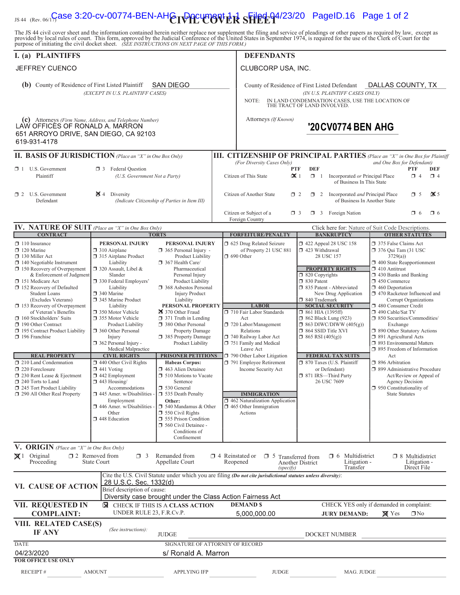## $\sigma_{\rm{1S\,44\,~(Rev.~06/15)}}$ Gase 3:20-cv-00774-BEN-AH $e_{\rm{IV}}$ Pecument $\pm{\rm{R\,SHE}}$   $\rm{FHE}$   $\rm{Q}$ 4/23/20 PageID.16 Page 1 of 2

The JS 44 civil cover sheet and the information contained herein neither replace nor supplement the filing and service of pleadings or other papers as required by law, except as provided by local rules of court. This form,

| I. (a) PLAINTIFFS                                                                                                                                                                                                                                                                                                                                                                                                                                                                                                                                                                                                                               |                                                                                                                                                                                                                                                                                                                                                                                                                                                                                                                                                                                                                                                                                                                                                                                                                                                                                                                                                                                                                                                                                                                                                                                                                                                                  |                                                                                                                                                                                                                                                        |                                                                                                                                                                                                                                                                                            | <b>DEFENDANTS</b>                                                                                                                                           |                                                                                                                                                                                                                                                                                                                                                                                                                                                                                                                  |                                                                                                                                                                                                                                                                                                                                                                                                                                                                                                                                                                                                                                                               |  |  |
|-------------------------------------------------------------------------------------------------------------------------------------------------------------------------------------------------------------------------------------------------------------------------------------------------------------------------------------------------------------------------------------------------------------------------------------------------------------------------------------------------------------------------------------------------------------------------------------------------------------------------------------------------|------------------------------------------------------------------------------------------------------------------------------------------------------------------------------------------------------------------------------------------------------------------------------------------------------------------------------------------------------------------------------------------------------------------------------------------------------------------------------------------------------------------------------------------------------------------------------------------------------------------------------------------------------------------------------------------------------------------------------------------------------------------------------------------------------------------------------------------------------------------------------------------------------------------------------------------------------------------------------------------------------------------------------------------------------------------------------------------------------------------------------------------------------------------------------------------------------------------------------------------------------------------|--------------------------------------------------------------------------------------------------------------------------------------------------------------------------------------------------------------------------------------------------------|--------------------------------------------------------------------------------------------------------------------------------------------------------------------------------------------------------------------------------------------------------------------------------------------|-------------------------------------------------------------------------------------------------------------------------------------------------------------|------------------------------------------------------------------------------------------------------------------------------------------------------------------------------------------------------------------------------------------------------------------------------------------------------------------------------------------------------------------------------------------------------------------------------------------------------------------------------------------------------------------|---------------------------------------------------------------------------------------------------------------------------------------------------------------------------------------------------------------------------------------------------------------------------------------------------------------------------------------------------------------------------------------------------------------------------------------------------------------------------------------------------------------------------------------------------------------------------------------------------------------------------------------------------------------|--|--|
| JEFFREY CUENCO                                                                                                                                                                                                                                                                                                                                                                                                                                                                                                                                                                                                                                  | CLUBCORP USA, INC.                                                                                                                                                                                                                                                                                                                                                                                                                                                                                                                                                                                                                                                                                                                                                                                                                                                                                                                                                                                                                                                                                                                                                                                                                                               |                                                                                                                                                                                                                                                        |                                                                                                                                                                                                                                                                                            |                                                                                                                                                             |                                                                                                                                                                                                                                                                                                                                                                                                                                                                                                                  |                                                                                                                                                                                                                                                                                                                                                                                                                                                                                                                                                                                                                                                               |  |  |
| <b>(b)</b> County of Residence of First Listed Plaintiff<br>(EXCEPT IN U.S. PLAINTIFF CASES)                                                                                                                                                                                                                                                                                                                                                                                                                                                                                                                                                    | DALLAS COUNTY, TX<br>County of Residence of First Listed Defendant<br>(IN U.S. PLAINTIFF CASES ONLY)<br>IN LAND CONDEMNATION CASES, USE THE LOCATION OF THE TRACT OF LAND INVOLVED.<br>NOTE:<br>Attorneys (If Known)<br>'20 CV0774 BEN AHG                                                                                                                                                                                                                                                                                                                                                                                                                                                                                                                                                                                                                                                                                                                                                                                                                                                                                                                                                                                                                       |                                                                                                                                                                                                                                                        |                                                                                                                                                                                                                                                                                            |                                                                                                                                                             |                                                                                                                                                                                                                                                                                                                                                                                                                                                                                                                  |                                                                                                                                                                                                                                                                                                                                                                                                                                                                                                                                                                                                                                                               |  |  |
| (c) Attorneys (Firm Name, Address, and Telephone Number)<br>LAW OFFICES OF RONALD A. MARRON<br>651 ARROYO DRIVE, SAN DIEGO, CA 92103<br>619-931-4178                                                                                                                                                                                                                                                                                                                                                                                                                                                                                            |                                                                                                                                                                                                                                                                                                                                                                                                                                                                                                                                                                                                                                                                                                                                                                                                                                                                                                                                                                                                                                                                                                                                                                                                                                                                  |                                                                                                                                                                                                                                                        |                                                                                                                                                                                                                                                                                            |                                                                                                                                                             |                                                                                                                                                                                                                                                                                                                                                                                                                                                                                                                  |                                                                                                                                                                                                                                                                                                                                                                                                                                                                                                                                                                                                                                                               |  |  |
| II. BASIS OF JURISDICTION (Place an "X" in One Box Only)                                                                                                                                                                                                                                                                                                                                                                                                                                                                                                                                                                                        |                                                                                                                                                                                                                                                                                                                                                                                                                                                                                                                                                                                                                                                                                                                                                                                                                                                                                                                                                                                                                                                                                                                                                                                                                                                                  |                                                                                                                                                                                                                                                        |                                                                                                                                                                                                                                                                                            |                                                                                                                                                             |                                                                                                                                                                                                                                                                                                                                                                                                                                                                                                                  | <b>III. CITIZENSHIP OF PRINCIPAL PARTIES</b> (Place an "X" in One Box for Plaintiff                                                                                                                                                                                                                                                                                                                                                                                                                                                                                                                                                                           |  |  |
| $\Box$ 1 U.S. Government<br><b>3</b> Federal Question<br>Plaintiff<br>(U.S. Government Not a Party)                                                                                                                                                                                                                                                                                                                                                                                                                                                                                                                                             |                                                                                                                                                                                                                                                                                                                                                                                                                                                                                                                                                                                                                                                                                                                                                                                                                                                                                                                                                                                                                                                                                                                                                                                                                                                                  | and One Box for Defendant)<br>(For Diversity Cases Only)<br><b>DEF</b><br>PTF<br><b>PTF</b><br>DEF<br>$\mathbf{\times}$ 1<br>Citizen of This State<br>$\Box$ 1<br>Incorporated or Principal Place<br>$\Box$ 4<br>$\Box$ 4<br>of Business In This State |                                                                                                                                                                                                                                                                                            |                                                                                                                                                             |                                                                                                                                                                                                                                                                                                                                                                                                                                                                                                                  |                                                                                                                                                                                                                                                                                                                                                                                                                                                                                                                                                                                                                                                               |  |  |
| $\Box$ 2 U.S. Government<br>Defendant                                                                                                                                                                                                                                                                                                                                                                                                                                                                                                                                                                                                           | $\blacktriangleright$ 4 Diversity<br>(Indicate Citizenship of Parties in Item III)                                                                                                                                                                                                                                                                                                                                                                                                                                                                                                                                                                                                                                                                                                                                                                                                                                                                                                                                                                                                                                                                                                                                                                               |                                                                                                                                                                                                                                                        |                                                                                                                                                                                                                                                                                            | $\mathbf{\times}$ 5<br>$\Box$ 5<br>Citizen of Another State<br>$\Box$ 2<br>$\Box$ 2 Incorporated <i>and</i> Principal Place<br>of Business In Another State |                                                                                                                                                                                                                                                                                                                                                                                                                                                                                                                  |                                                                                                                                                                                                                                                                                                                                                                                                                                                                                                                                                                                                                                                               |  |  |
|                                                                                                                                                                                                                                                                                                                                                                                                                                                                                                                                                                                                                                                 |                                                                                                                                                                                                                                                                                                                                                                                                                                                                                                                                                                                                                                                                                                                                                                                                                                                                                                                                                                                                                                                                                                                                                                                                                                                                  |                                                                                                                                                                                                                                                        | Citizen or Subject of a<br>Foreign Country                                                                                                                                                                                                                                                 | $\Box$ 3                                                                                                                                                    | 3 Foreign Nation                                                                                                                                                                                                                                                                                                                                                                                                                                                                                                 | $\Box$ 6<br>$\Box$ 6                                                                                                                                                                                                                                                                                                                                                                                                                                                                                                                                                                                                                                          |  |  |
| <b>IV. NATURE OF SUIT</b> (Place an "X" in One Box Only)                                                                                                                                                                                                                                                                                                                                                                                                                                                                                                                                                                                        |                                                                                                                                                                                                                                                                                                                                                                                                                                                                                                                                                                                                                                                                                                                                                                                                                                                                                                                                                                                                                                                                                                                                                                                                                                                                  |                                                                                                                                                                                                                                                        |                                                                                                                                                                                                                                                                                            |                                                                                                                                                             |                                                                                                                                                                                                                                                                                                                                                                                                                                                                                                                  | Click here for: Nature of Suit Code Descriptions.                                                                                                                                                                                                                                                                                                                                                                                                                                                                                                                                                                                                             |  |  |
| <b>CONTRACT</b>                                                                                                                                                                                                                                                                                                                                                                                                                                                                                                                                                                                                                                 |                                                                                                                                                                                                                                                                                                                                                                                                                                                                                                                                                                                                                                                                                                                                                                                                                                                                                                                                                                                                                                                                                                                                                                                                                                                                  | <b>TORTS</b>                                                                                                                                                                                                                                           |                                                                                                                                                                                                                                                                                            | <b>FORFEITURE/PENALTY</b>                                                                                                                                   | <b>BANKRUPTCY</b>                                                                                                                                                                                                                                                                                                                                                                                                                                                                                                | <b>OTHER STATUTES</b>                                                                                                                                                                                                                                                                                                                                                                                                                                                                                                                                                                                                                                         |  |  |
| $\Box$ 110 Insurance<br>$\Box$ 120 Marine<br>$\Box$ 130 Miller Act<br>$\Box$ 140 Negotiable Instrument<br>$\Box$ 150 Recovery of Overpayment<br>& Enforcement of Judgment<br>□ 151 Medicare Act<br>□ 152 Recovery of Defaulted<br><b>Student Loans</b><br>(Excludes Veterans)<br>□ 153 Recovery of Overpayment<br>of Veteran's Benefits<br>160 Stockholders' Suits<br>190 Other Contract<br>195 Contract Product Liability<br>$\Box$ 196 Franchise<br><b>REAL PROPERTY</b><br>$\Box$ 210 Land Condemnation<br>220 Foreclosure<br>□ 230 Rent Lease & Ejectment<br>240 Torts to Land<br>245 Tort Product Liability<br>290 All Other Real Property | PERSONAL INJURY<br><b>PERSONAL INJURY</b><br>$\Box$ 310 Airplane<br>$\Box$ 365 Personal Injury -<br>315 Airplane Product<br>Product Liability<br>Liability<br>367 Health Care/<br>$\Box$ 320 Assault, Libel &<br>Pharmaceutical<br>Slander<br>Personal Injury<br>□ 330 Federal Employers'<br>Product Liability<br>Liability<br>□ 368 Asbestos Personal<br>$\Box$ 340 Marine<br><b>Injury Product</b><br>345 Marine Product<br>Liability<br>PERSONAL PROPERTY<br>Liability<br>370 Other Fraud<br>□ 350 Motor Vehicle<br>□ 355 Motor Vehicle<br>$\Box$ 371 Truth in Lending<br>380 Other Personal<br>Product Liability<br>360 Other Personal<br>Property Damage<br>□ 385 Property Damage<br>Injury<br>$\Box$ 362 Personal Injury -<br>Product Liability<br>Medical Malpractice<br><b>CIVIL RIGHTS</b><br><b>PRISONER PETITIONS</b><br>$\Box$ 440 Other Civil Rights<br><b>Habeas Corpus:</b><br>$\Box$ 441 Voting<br>1 463 Alien Detainee<br>$\Box$ 442 Employment<br>$\Box$ 510 Motions to Vacate<br>$\Box$ 443 Housing/<br>Sentence<br>Accommodations<br>□ 530 General<br>$\Box$ 445 Amer. w/Disabilities<br>□ 535 Death Penalty<br>Other:<br>Employment<br>$\Box$ 446 Amer. w/Disabilities -<br>$\Box$ 540 Mandamus & Other<br>Other<br>$\Box$ 550 Civil Rights |                                                                                                                                                                                                                                                        | □ 625 Drug Related Seizure<br>$\Box$ 690 Other<br>710 Fair Labor Standards<br>Act<br>720 Labor/Management<br>Relations<br>740 Railway Labor Act<br>751 Family and Medical<br>Leave Act<br>790 Other Labor Litigation<br>791 Employee Retirement<br>$\Box$ 465 Other Immigration<br>Actions | of Property 21 USC 881<br><b>LABOR</b><br>Income Security Act<br><b>IMMIGRATION</b><br>$\Box$ 462 Naturalization Application                                | $\Box$ 422 Appeal 28 USC 158<br>$\Box$ 423 Withdrawal<br>28 USC 157<br><b>PROPERTY RIGHTS</b><br>$\Box$ 820 Copyrights<br>□ 830 Patent<br>□ 835 Patent - Abbreviated<br>New Drug Application<br>□ 840 Trademark<br><b>SOCIAL SECURITY</b><br>$\Box$ 861 HIA (1395ff)<br>$\Box$ 862 Black Lung (923)<br>$\Box$ 863 DIWC/DIWW (405(g))<br>$\Box$ 864 SSID Title XVI<br>$\Box$ 865 RSI (405(g))<br><b>FEDERAL TAX SUITS</b><br>□ 870 Taxes (U.S. Plaintiff<br>or Defendant)<br>□ 871 IRS-Third Party<br>26 USC 7609 | 375 False Claims Act<br>□ 376 Qui Tam (31 USC<br>3729(a)<br>400 State Reapportionment<br>$\Box$ 410 Antitrust<br>$\Box$ 430 Banks and Banking<br>$\Box$ 450 Commerce<br>$\Box$ 460 Deportation<br>1 470 Racketeer Influenced and<br>Corrupt Organizations<br>480 Consumer Credit<br>□ 490 Cable/Sat TV<br>□ 850 Securities/Commodities/<br>Exchange<br>□ 890 Other Statutory Actions<br>□ 891 Agricultural Acts<br>□ 893 Environmental Matters<br>□ 895 Freedom of Information<br>Act<br>□ 896 Arbitration<br>□ 899 Administrative Procedure<br>Act/Review or Appeal of<br><b>Agency Decision</b><br>$\Box$ 950 Constitutionality of<br><b>State Statutes</b> |  |  |
|                                                                                                                                                                                                                                                                                                                                                                                                                                                                                                                                                                                                                                                 | 448 Education                                                                                                                                                                                                                                                                                                                                                                                                                                                                                                                                                                                                                                                                                                                                                                                                                                                                                                                                                                                                                                                                                                                                                                                                                                                    | 555 Prison Condition<br>560 Civil Detainee -<br>Conditions of<br>Confinement                                                                                                                                                                           |                                                                                                                                                                                                                                                                                            |                                                                                                                                                             |                                                                                                                                                                                                                                                                                                                                                                                                                                                                                                                  |                                                                                                                                                                                                                                                                                                                                                                                                                                                                                                                                                                                                                                                               |  |  |
| <b>V. ORIGIN</b> (Place an "X" in One Box Only)                                                                                                                                                                                                                                                                                                                                                                                                                                                                                                                                                                                                 |                                                                                                                                                                                                                                                                                                                                                                                                                                                                                                                                                                                                                                                                                                                                                                                                                                                                                                                                                                                                                                                                                                                                                                                                                                                                  |                                                                                                                                                                                                                                                        |                                                                                                                                                                                                                                                                                            |                                                                                                                                                             |                                                                                                                                                                                                                                                                                                                                                                                                                                                                                                                  |                                                                                                                                                                                                                                                                                                                                                                                                                                                                                                                                                                                                                                                               |  |  |
| $\mathbf{\times}1$ Original<br>Proceeding                                                                                                                                                                                                                                                                                                                                                                                                                                                                                                                                                                                                       | $\square$ 2 Removed from<br>$\Box$ 3<br><b>State Court</b>                                                                                                                                                                                                                                                                                                                                                                                                                                                                                                                                                                                                                                                                                                                                                                                                                                                                                                                                                                                                                                                                                                                                                                                                       | Remanded from<br>Appellate Court                                                                                                                                                                                                                       | $\Box$ 4 Reinstated or<br>Reopened                                                                                                                                                                                                                                                         | $\Box$ 5 Transferred from<br>(specify)                                                                                                                      | $\Box$ 6 Multidistrict<br>Litigation -<br><b>Another District</b><br>Transfer                                                                                                                                                                                                                                                                                                                                                                                                                                    | □ 8 Multidistrict<br>Litigation -<br>Direct File                                                                                                                                                                                                                                                                                                                                                                                                                                                                                                                                                                                                              |  |  |
| VI. CAUSE OF ACTION                                                                                                                                                                                                                                                                                                                                                                                                                                                                                                                                                                                                                             | 28 U.S.C. Sec. 1332(d)<br>Brief description of cause:                                                                                                                                                                                                                                                                                                                                                                                                                                                                                                                                                                                                                                                                                                                                                                                                                                                                                                                                                                                                                                                                                                                                                                                                            | Cite the U.S. Civil Statute under which you are filing (Do not cite jurisdictional statutes unless diversity):<br>Diversity case brought under the Class Action Fairness Act                                                                           |                                                                                                                                                                                                                                                                                            |                                                                                                                                                             |                                                                                                                                                                                                                                                                                                                                                                                                                                                                                                                  |                                                                                                                                                                                                                                                                                                                                                                                                                                                                                                                                                                                                                                                               |  |  |
| <b>VII. REQUESTED IN</b><br><b>COMPLAINT:</b>                                                                                                                                                                                                                                                                                                                                                                                                                                                                                                                                                                                                   | UNDER RULE 23, F.R.Cv.P.                                                                                                                                                                                                                                                                                                                                                                                                                                                                                                                                                                                                                                                                                                                                                                                                                                                                                                                                                                                                                                                                                                                                                                                                                                         | <b>X</b> CHECK IF THIS IS A CLASS ACTION                                                                                                                                                                                                               | <b>DEMANDS</b><br>5,000,000.00                                                                                                                                                                                                                                                             |                                                                                                                                                             | <b>JURY DEMAND:</b>                                                                                                                                                                                                                                                                                                                                                                                                                                                                                              | CHECK YES only if demanded in complaint:<br>$\times$ Yes<br>$\Box$ No                                                                                                                                                                                                                                                                                                                                                                                                                                                                                                                                                                                         |  |  |
| VIII. RELATED CASE(S)<br><b>IF ANY</b>                                                                                                                                                                                                                                                                                                                                                                                                                                                                                                                                                                                                          | (See instructions):                                                                                                                                                                                                                                                                                                                                                                                                                                                                                                                                                                                                                                                                                                                                                                                                                                                                                                                                                                                                                                                                                                                                                                                                                                              | <b>JUDGE</b>                                                                                                                                                                                                                                           |                                                                                                                                                                                                                                                                                            | DOCKET NUMBER                                                                                                                                               |                                                                                                                                                                                                                                                                                                                                                                                                                                                                                                                  |                                                                                                                                                                                                                                                                                                                                                                                                                                                                                                                                                                                                                                                               |  |  |
| <b>DATE</b>                                                                                                                                                                                                                                                                                                                                                                                                                                                                                                                                                                                                                                     |                                                                                                                                                                                                                                                                                                                                                                                                                                                                                                                                                                                                                                                                                                                                                                                                                                                                                                                                                                                                                                                                                                                                                                                                                                                                  | SIGNATURE OF ATTORNEY OF RECORD                                                                                                                                                                                                                        |                                                                                                                                                                                                                                                                                            |                                                                                                                                                             |                                                                                                                                                                                                                                                                                                                                                                                                                                                                                                                  |                                                                                                                                                                                                                                                                                                                                                                                                                                                                                                                                                                                                                                                               |  |  |
| 04/23/2020<br><b>FOR OFFICE USE ONLY</b>                                                                                                                                                                                                                                                                                                                                                                                                                                                                                                                                                                                                        |                                                                                                                                                                                                                                                                                                                                                                                                                                                                                                                                                                                                                                                                                                                                                                                                                                                                                                                                                                                                                                                                                                                                                                                                                                                                  | s/ Ronald A. Marron                                                                                                                                                                                                                                    |                                                                                                                                                                                                                                                                                            |                                                                                                                                                             |                                                                                                                                                                                                                                                                                                                                                                                                                                                                                                                  |                                                                                                                                                                                                                                                                                                                                                                                                                                                                                                                                                                                                                                                               |  |  |
| <b>RECEIPT#</b>                                                                                                                                                                                                                                                                                                                                                                                                                                                                                                                                                                                                                                 | <b>AMOUNT</b>                                                                                                                                                                                                                                                                                                                                                                                                                                                                                                                                                                                                                                                                                                                                                                                                                                                                                                                                                                                                                                                                                                                                                                                                                                                    | <b>APPLYING IFP</b>                                                                                                                                                                                                                                    |                                                                                                                                                                                                                                                                                            | <b>JUDGE</b>                                                                                                                                                | MAG. JUDGE                                                                                                                                                                                                                                                                                                                                                                                                                                                                                                       |                                                                                                                                                                                                                                                                                                                                                                                                                                                                                                                                                                                                                                                               |  |  |